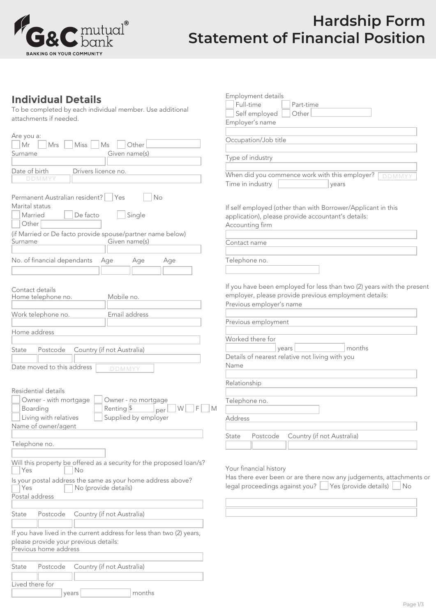

# **Hardship Form Statement of Financial Position**

Employment details

Full-time Part-time Self employed Other

### **Individual Details**

To be completed by each individual member. Use additional attachments if needed.

| attachments if needed.                                                                                                                                                                                                                                 | Employer's name                                                                                                                                                           |
|--------------------------------------------------------------------------------------------------------------------------------------------------------------------------------------------------------------------------------------------------------|---------------------------------------------------------------------------------------------------------------------------------------------------------------------------|
| Are you a:<br>Mr<br>Other<br>Miss<br>Mrs<br>Ms                                                                                                                                                                                                         | Occupation/Job title                                                                                                                                                      |
| Given name(s)<br>Surname                                                                                                                                                                                                                               | Type of industry                                                                                                                                                          |
| Drivers licence no.<br>Date of birth<br>DDMMYY                                                                                                                                                                                                         | When did you commence work with this employer?<br>DDMMYY<br>Time in industry<br>years                                                                                     |
| Permanent Australian resident?   Yes<br>No<br>Marital status<br>Married<br>De facto<br>Single<br>Other<br>(if Married or De facto provide spouse/partner name below)<br>Given name(s)<br>Surname<br>No. of financial dependants<br>Age<br>Age<br>Age   | If self employed (other than with Borrower/Applicant in this<br>application), please provide accountant's details:<br>Accounting firm<br>Contact name<br>Telephone no.    |
| Contact details<br>Mobile no.<br>Home telephone no.                                                                                                                                                                                                    | If you have been employed for less than two (2) years with the present<br>employer, please provide previous employment details:<br>Previous employer's name               |
| Work telephone no.<br>Email address                                                                                                                                                                                                                    | Previous employment                                                                                                                                                       |
| Home address<br>Country (if not Australia)<br>Postcode<br>State                                                                                                                                                                                        | Worked there for<br>months<br>vears<br>Details of nearest relative not living with you                                                                                    |
| Date moved to this address<br>DDMMYY<br>Residential details<br>Owner - with mortgage<br>Owner - no mortgage<br>$F \Box M$<br>Renting $\frac{1}{3}$<br>W<br>Boarding<br>  per  <br>Living with relatives<br>Supplied by employer<br>Name of owner/agent | Name<br>Relationship<br>Telephone no.<br>Address                                                                                                                          |
| Telephone no.                                                                                                                                                                                                                                          | Postcode<br>Country (if not Australia)<br>State                                                                                                                           |
| Will this property be offered as a security for the proposed loan/s?<br>Yes<br>No<br>Is your postal address the same as your home address above?<br>No (provide details)<br>Yes<br>Postal address                                                      | Your financial history<br>Has there ever been or are there now any judgements, attachments or<br>legal proceedings against you?<br>Yes (provide details)<br>$ N_{\rm O} $ |
| Country (if not Australia)<br>State<br>Postcode<br>If you have lived in the current address for less than two (2) years,<br>please provide your previous details:<br>Previous home address                                                             |                                                                                                                                                                           |
| Country (if not Australia)<br>State<br>Postcode<br>Lived there for<br>months<br>years                                                                                                                                                                  |                                                                                                                                                                           |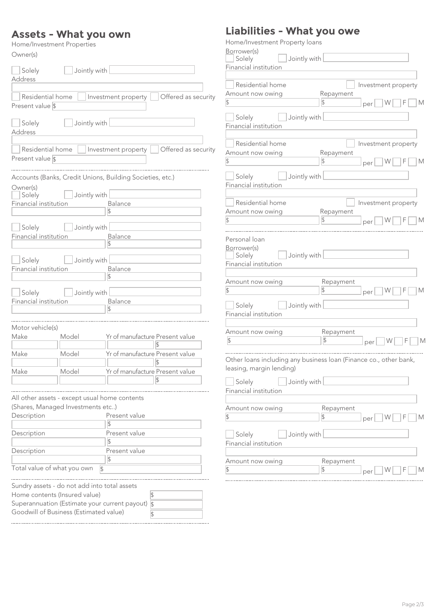#### **Assets - What you own**

| Home/Investment Properties |  |
|----------------------------|--|
|----------------------------|--|

| Owner(s)                             |                                               |                                                           |
|--------------------------------------|-----------------------------------------------|-----------------------------------------------------------|
| Solely<br><b>Address</b>             | Jointly with                                  |                                                           |
|                                      |                                               |                                                           |
| Residential home<br>Present value \$ |                                               | Offered as security<br>Investment property                |
| Solely<br>Address                    | Jointly with                                  |                                                           |
| Residential home<br>Present value \$ |                                               | Offered as security<br>Investment property                |
|                                      |                                               | Accounts (Banks, Credit Unions, Building Societies, etc.) |
| Owner(s)                             |                                               |                                                           |
| Solely                               | Jointly with                                  | Balance                                                   |
| Financial institution                |                                               | $\overline{\mathbb{S}}$                                   |
|                                      |                                               |                                                           |
| Solely                               | Jointly with                                  |                                                           |
| Financial institution                |                                               | <b>Balance</b>                                            |
|                                      |                                               |                                                           |
|                                      |                                               |                                                           |
| Solely<br>Financial institution      | Jointly with                                  | Balance                                                   |
|                                      |                                               | $\overline{\mathbb{S}}$                                   |
|                                      |                                               |                                                           |
| Solely                               | Jointly with                                  |                                                           |
| Financial institution                |                                               | Balance                                                   |
|                                      |                                               | $\overline{\mathbb{S}}$                                   |
|                                      |                                               |                                                           |
| Motor vehicle(s)                     |                                               |                                                           |
| Make                                 | Model                                         | Yr of manufacture Present value                           |
|                                      |                                               |                                                           |
| Make                                 | Model                                         | Yr of manufacture Present value                           |
| Make                                 | Model                                         | Yr of manufacture Present value                           |
|                                      |                                               | $\sqrt{2}$                                                |
|                                      |                                               |                                                           |
|                                      | All other assets - except usual home contents |                                                           |
|                                      | (Shares, Managed Investments etc)             |                                                           |
| Description                          |                                               | Present value                                             |
|                                      |                                               | $\overline{\mathbb{S}}$                                   |
| Description                          |                                               | Present value                                             |
|                                      |                                               | ß.                                                        |
| Description                          |                                               | Present value                                             |
|                                      |                                               | $\frac{1}{2}$                                             |
|                                      | Total value of what you own                   | $\sqrt{2}$                                                |
|                                      |                                               |                                                           |
|                                      | Sundry assets - do not add into total assets  |                                                           |
|                                      | Home contents (Insured value)                 | S                                                         |
|                                      |                                               | Superannuation (Estimate your current payout) $\sqrt{s}$  |

Goodwill of Business (Estimated value)

## **Liabilities - What you owe**

| Home/Investment Property loans                                    |                            |                     |
|-------------------------------------------------------------------|----------------------------|---------------------|
| Borrower(s)<br>Jointly with<br>Solely                             |                            |                     |
| Financial institution                                             |                            |                     |
| Residential home                                                  |                            |                     |
| Amount now owing                                                  | Repayment                  | Investment property |
| $ \mathcal{E} $                                                   | \$                         | W<br>F<br>М<br>per  |
|                                                                   |                            |                     |
| Solely<br>Jointly with<br>Financial institution                   |                            |                     |
|                                                                   |                            |                     |
| Residential home                                                  |                            | Investment property |
| Amount now owing<br>$\overline{\mathcal{S}}$                      | Repayment<br>$\frac{1}{2}$ | W<br>F<br>M         |
|                                                                   |                            | per                 |
| Solely<br>Jointly with                                            |                            |                     |
| Financial institution                                             |                            |                     |
|                                                                   |                            |                     |
| Residential home                                                  |                            | Investment property |
| Amount now owing                                                  | Repayment                  |                     |
| $\frac{1}{2}$                                                     | 1\$                        | М<br>W<br>per       |
|                                                                   |                            |                     |
| Personal loan                                                     |                            |                     |
| Borrower(s)<br>Jointly with<br>Solely                             |                            |                     |
| Financial institution                                             |                            |                     |
|                                                                   |                            |                     |
| Amount now owing                                                  | Repayment                  |                     |
| $\frac{1}{2}$                                                     | \$                         | W<br>F<br>M<br>per  |
|                                                                   |                            |                     |
| Solely<br>Jointly with                                            |                            |                     |
| Financial institution                                             |                            |                     |
| Amount now owing                                                  |                            |                     |
| $\frac{1}{2}$                                                     | Repayment<br>$\sqrt{ }$    | W<br>F<br>М         |
|                                                                   |                            | per                 |
| Other loans including any business loan (Finance co., other bank, |                            |                     |
| leasing, margin lending)                                          |                            |                     |
|                                                                   |                            |                     |
| Solely<br>Jointly with                                            |                            |                     |
| Financial institution                                             |                            |                     |
|                                                                   |                            |                     |
| Amount now owing                                                  | Repayment                  |                     |
| $\frac{1}{2}$                                                     | $\overline{\mathcal{S}}$   | W<br>M<br>per       |
| Solely<br>Jointly with                                            |                            |                     |
| Financial institution                                             |                            |                     |
|                                                                   |                            |                     |
| Amount now owing                                                  | Repayment                  |                     |
| $\frac{1}{2}$                                                     | $\overline{\mathbb{S}}$    | W<br>M<br>per       |
|                                                                   |                            |                     |